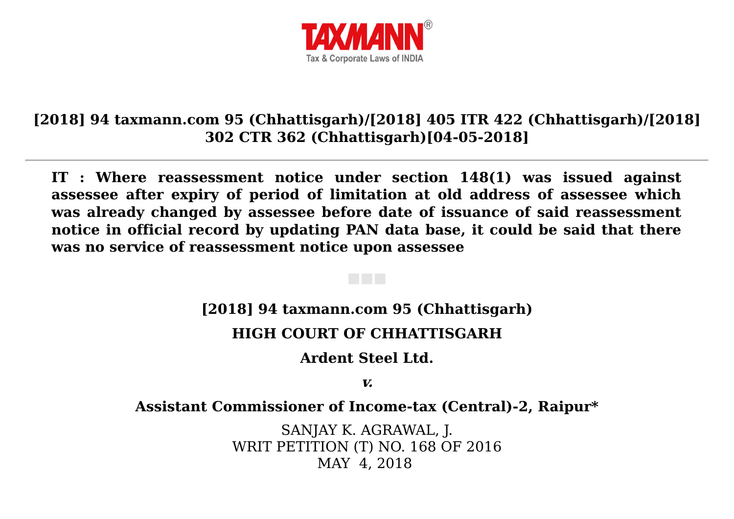

## **[2018] 94 taxmann.com 95 (Chhattisgarh)/[2018] 405 ITR 422 (Chhattisgarh)/[2018] 302 CTR 362 (Chhattisgarh)[04-05-2018]**

**IT : Where reassessment notice under section 148(1) was issued against assessee after expiry of period of limitation at old address of assessee which was already changed by assessee before date of issuance of said reassessment notice in official record by updating PAN data base, it could be said that there was no service of reassessment notice upon assessee**

**[2018] 94 taxmann.com 95 (Chhattisgarh)**

### **HIGH COURT OF CHHATTISGARH**

**Ardent Steel Ltd.**

**v.**

**Assistant Commissioner of Income-tax (Central)-2, Raipu[r\\*](javascript:void(0);)**

SANJAY K. AGRAWAL, J. WRIT PETITION (T) NO. 168 OF 2016 MAY 4, 2018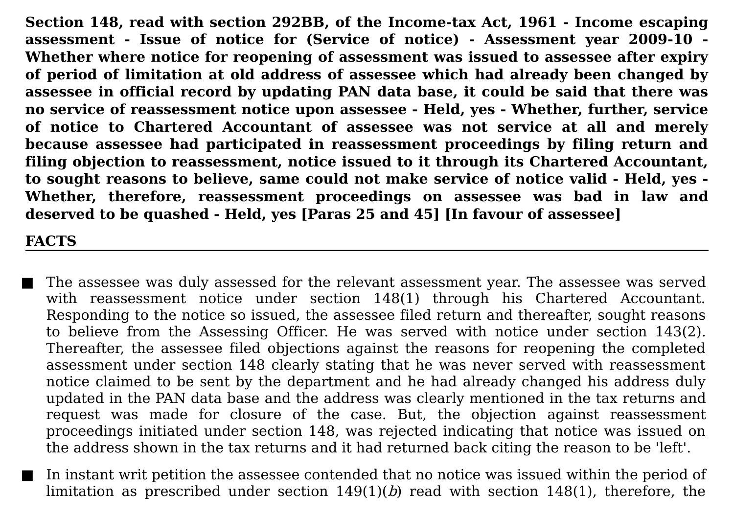**Section [148,](javascript:void(0);) read with section 292BB, of the Income-tax Act, 1961 - Income escaping assessment - Issue of notice for (Service of notice) - Assessment year 2009-10 - Whether where notice for reopening of assessment was issued to assessee after expiry of period of limitation at old address of assessee which had already been changed by assessee in official record by updating PAN data base, it could be said that there was no service of reassessment notice upon assessee - Held, yes - Whether, further, service of notice to Chartered Accountant of assessee was not service at all and merely because assessee had participated in reassessment proceedings by filing return and filing objection to reassessment, notice issued to it through its Chartered Accountant, to sought reasons to believe, same could not make service of notice valid - Held, yes - Whether, therefore, reassessment proceedings on assessee was bad in law and deserved to be quashed - Held, yes [Paras 25 and 45] [In favour of assessee]**

### **FACTS**

- The assessee was duly assessed for the relevant assessment year. The assessee was served with reassessment notice under section 148(1) through his Chartered Accountant. Responding to the notice so issued, the assessee filed return and thereafter, sought reasons to believe from the Assessing Officer. He was served with notice under section 143(2). Thereafter, the assessee filed objections against the reasons for reopening the completed assessment under section 148 clearly stating that he was never served with reassessment notice claimed to be sent by the department and he had already changed his address duly updated in the PAN data base and the address was clearly mentioned in the tax returns and request was made for closure of the case. But, the objection against reassessment proceedings initiated under section 148, was rejected indicating that notice was issued on the address shown in the tax returns and it had returned back citing the reason to be 'left'.
- In instant writ petition the assessee contended that no notice was issued within the period of limitation as prescribed under section  $149(1)(b)$  read with section  $148(1)$ , therefore, the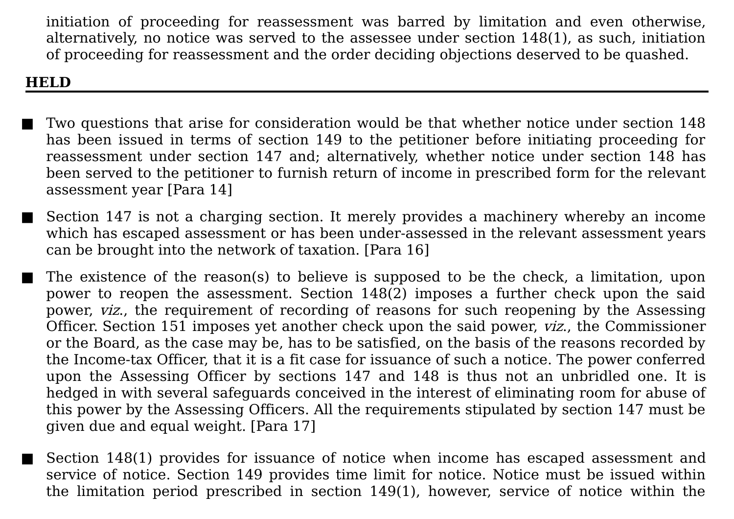initiation of proceeding for reassessment was barred by limitation and even otherwise, alternatively, no notice was served to the assessee under section 148(1), as such, initiation of proceeding for reassessment and the order deciding objections deserved to be quashed.

### **HELD**

- Two questions that arise for consideration would be that whether notice under section 148 has been issued in terms of section 149 to the petitioner before initiating proceeding for reassessment under section 147 and; alternatively, whether notice under section 148 has been served to the petitioner to furnish return of income in prescribed form for the relevant assessment year [Para 14]
- Section 147 is not a charging section. It merely provides a machinery whereby an income which has escaped assessment or has been under-assessed in the relevant assessment years can be brought into the network of taxation. [Para 16]
- The existence of the reason(s) to believe is supposed to be the check, a limitation, upon power to reopen the assessment. Section 148(2) imposes a further check upon the said power, viz., the requirement of recording of reasons for such reopening by the Assessing Officer. Section 151 imposes yet another check upon the said power, viz., the Commissioner or the Board, as the case may be, has to be satisfied, on the basis of the reasons recorded by the Income-tax Officer, that it is a fit case for issuance of such a notice. The power conferred upon the Assessing Officer by sections 147 and 148 is thus not an unbridled one. It is hedged in with several safeguards conceived in the interest of eliminating room for abuse of this power by the Assessing Officers. All the requirements stipulated by section 147 must be given due and equal weight. [Para 17]
- Section 148(1) provides for issuance of notice when income has escaped assessment and service of notice. Section 149 provides time limit for notice. Notice must be issued within the limitation period prescribed in section 149(1), however, service of notice within the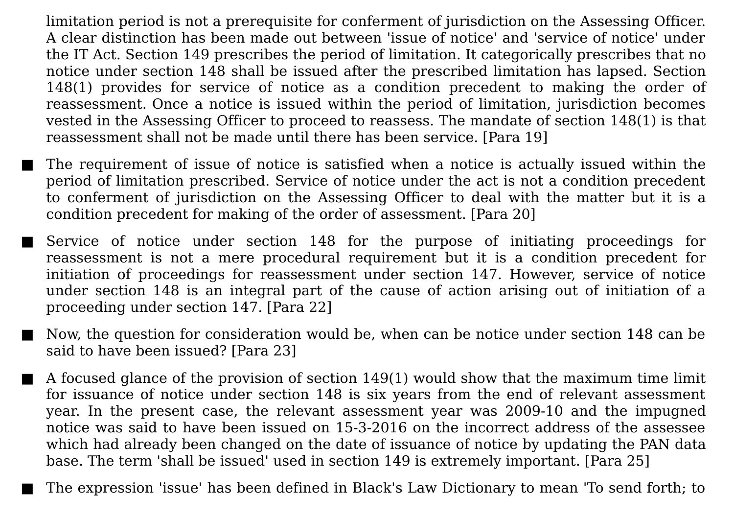limitation period is not a prerequisite for conferment of jurisdiction on the Assessing Officer. A clear distinction has been made out between 'issue of notice' and 'service of notice' under the IT Act. Section 149 prescribes the period of limitation. It categorically prescribes that no notice under section 148 shall be issued after the prescribed limitation has lapsed. Section 148(1) provides for service of notice as a condition precedent to making the order of reassessment. Once a notice is issued within the period of limitation, jurisdiction becomes vested in the Assessing Officer to proceed to reassess. The mandate of section 148(1) is that reassessment shall not be made until there has been service. [Para 19]

- The requirement of issue of notice is satisfied when a notice is actually issued within the period of limitation prescribed. Service of notice under the act is not a condition precedent to conferment of jurisdiction on the Assessing Officer to deal with the matter but it is a condition precedent for making of the order of assessment. [Para 20]
- Service of notice under section 148 for the purpose of initiating proceedings for reassessment is not a mere procedural requirement but it is a condition precedent for initiation of proceedings for reassessment under section 147. However, service of notice under section 148 is an integral part of the cause of action arising out of initiation of a proceeding under section 147. [Para 22]
	- Now, the question for consideration would be, when can be notice under section 148 can be said to have been issued? [Para 23]
- $\blacksquare$  A focused glance of the provision of section 149(1) would show that the maximum time limit for issuance of notice under section 148 is six years from the end of relevant assessment year. In the present case, the relevant assessment year was 2009-10 and the impugned notice was said to have been issued on 15-3-2016 on the incorrect address of the assessee which had already been changed on the date of issuance of notice by updating the PAN data base. The term 'shall be issued' used in section 149 is extremely important. [Para 25]

The expression 'issue' has been defined in Black's Law Dictionary to mean 'To send forth; to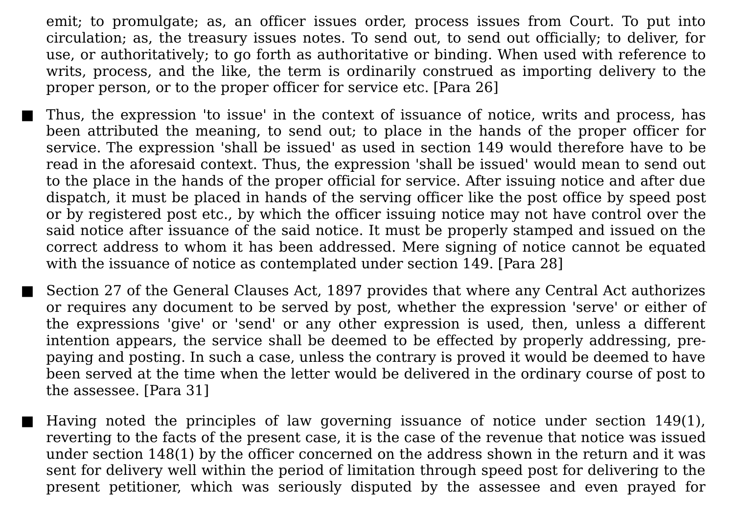emit; to promulgate; as, an officer issues order, process issues from Court. To put into circulation; as, the treasury issues notes. To send out, to send out officially; to deliver, for use, or authoritatively; to go forth as authoritative or binding. When used with reference to writs, process, and the like, the term is ordinarily construed as importing delivery to the proper person, or to the proper officer for service etc. [Para 26]

- Thus, the expression 'to issue' in the context of issuance of notice, writs and process, has been attributed the meaning, to send out; to place in the hands of the proper officer for service. The expression 'shall be issued' as used in section 149 would therefore have to be read in the aforesaid context. Thus, the expression 'shall be issued' would mean to send out to the place in the hands of the proper official for service. After issuing notice and after due dispatch, it must be placed in hands of the serving officer like the post office by speed post or by registered post etc., by which the officer issuing notice may not have control over the said notice after issuance of the said notice. It must be properly stamped and issued on the correct address to whom it has been addressed. Mere signing of notice cannot be equated with the issuance of notice as contemplated under section 149. [Para 28]
- Section 27 of the General Clauses Act, 1897 provides that where any Central Act authorizes or requires any document to be served by post, whether the expression 'serve' or either of the expressions 'give' or 'send' or any other expression is used, then, unless a different intention appears, the service shall be deemed to be effected by properly addressing, prepaying and posting. In such a case, unless the contrary is proved it would be deemed to have been served at the time when the letter would be delivered in the ordinary course of post to the assessee. [Para 31]
	- Having noted the principles of law governing issuance of notice under section  $149(1)$ , reverting to the facts of the present case, it is the case of the revenue that notice was issued under section 148(1) by the officer concerned on the address shown in the return and it was sent for delivery well within the period of limitation through speed post for delivering to the present petitioner, which was seriously disputed by the assessee and even prayed for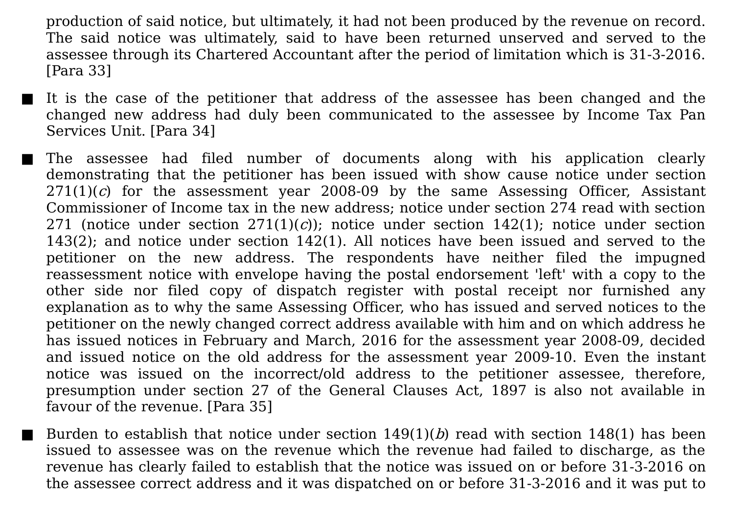production of said notice, but ultimately, it had not been produced by the revenue on record. The said notice was ultimately, said to have been returned unserved and served to the assessee through its Chartered Accountant after the period of limitation which is 31-3-2016. [Para 33]

- It is the case of the petitioner that address of the assessee has been changed and the changed new address had duly been communicated to the assessee by Income Tax Pan Services Unit. [Para 34]
	- The assessee had filed number of documents along with his application clearly demonstrating that the petitioner has been issued with show cause notice under section  $271(1)(c)$  for the assessment year 2008-09 by the same Assessing Officer, Assistant Commissioner of Income tax in the new address; notice under section 274 read with section 271 (notice under section  $271(1)(c)$ ); notice under section 142(1); notice under section 143(2); and notice under section 142(1). All notices have been issued and served to the petitioner on the new address. The respondents have neither filed the impugned reassessment notice with envelope having the postal endorsement 'left' with a copy to the other side nor filed copy of dispatch register with postal receipt nor furnished any explanation as to why the same Assessing Officer, who has issued and served notices to the petitioner on the newly changed correct address available with him and on which address he has issued notices in February and March, 2016 for the assessment year 2008-09, decided and issued notice on the old address for the assessment year 2009-10. Even the instant notice was issued on the incorrect/old address to the petitioner assessee, therefore, presumption under section 27 of the General Clauses Act, 1897 is also not available in favour of the revenue. [Para 35]
- **Burden to establish that notice under section 149(1)(b) read with section 148(1) has been** issued to assessee was on the revenue which the revenue had failed to discharge, as the revenue has clearly failed to establish that the notice was issued on or before 31-3-2016 on the assessee correct address and it was dispatched on or before 31-3-2016 and it was put to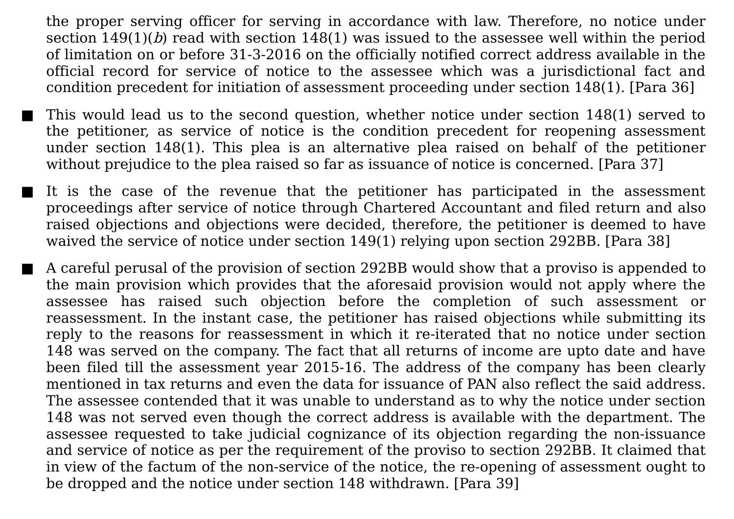the proper serving officer for serving in accordance with law. Therefore, no notice under section  $149(1)(b)$  read with section  $148(1)$  was issued to the assessee well within the period of limitation on or before 31-3-2016 on the officially notified correct address available in the official record for service of notice to the assessee which was a jurisdictional fact and condition precedent for initiation of assessment proceeding under section 148(1). [Para 36]

This would lead us to the second question, whether notice under section 148(1) served to the petitioner, as service of notice is the condition precedent for reopening assessment under section 148(1). This plea is an alternative plea raised on behalf of the petitioner without prejudice to the plea raised so far as issuance of notice is concerned. [Para 37]

■ It is the case of the revenue that the petitioner has participated in the assessment proceedings after service of notice through Chartered Accountant and filed return and also raised objections and objections were decided, therefore, the petitioner is deemed to have waived the service of notice under section 149(1) relying upon section 292BB. [Para 38]

A careful perusal of the provision of section 292BB would show that a proviso is appended to the main provision which provides that the aforesaid provision would not apply where the assessee has raised such objection before the completion of such assessment or reassessment. In the instant case, the petitioner has raised objections while submitting its reply to the reasons for reassessment in which it re-iterated that no notice under section 148 was served on the company. The fact that all returns of income are upto date and have been filed till the assessment year 2015-16. The address of the company has been clearly mentioned in tax returns and even the data for issuance of PAN also reflect the said address. The assessee contended that it was unable to understand as to why the notice under section 148 was not served even though the correct address is available with the department. The assessee requested to take judicial cognizance of its objection regarding the non-issuance and service of notice as per the requirement of the proviso to section 292BB. It claimed that in view of the factum of the non-service of the notice, the re-opening of assessment ought to be dropped and the notice under section 148 withdrawn. [Para 39]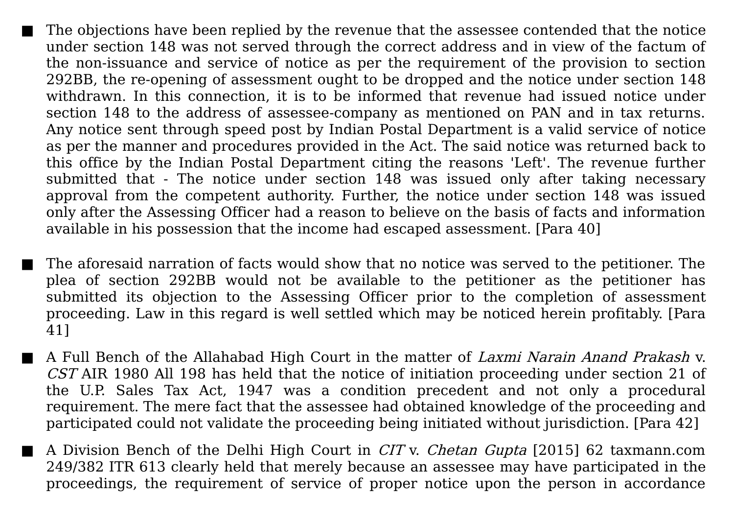The objections have been replied by the revenue that the assessee contended that the notice under section 148 was not served through the correct address and in view of the factum of the non-issuance and service of notice as per the requirement of the provision to section 292BB, the re-opening of assessment ought to be dropped and the notice under section 148 withdrawn. In this connection, it is to be informed that revenue had issued notice under section 148 to the address of assessee-company as mentioned on PAN and in tax returns. Any notice sent through speed post by Indian Postal Department is a valid service of notice as per the manner and procedures provided in the Act. The said notice was returned back to this office by the Indian Postal Department citing the reasons 'Left'. The revenue further submitted that - The notice under section 148 was issued only after taking necessary approval from the competent authority. Further, the notice under section 148 was issued only after the Assessing Officer had a reason to believe on the basis of facts and information available in his possession that the income had escaped assessment. [Para 40]

The aforesaid narration of facts would show that no notice was served to the petitioner. The plea of section 292BB would not be available to the petitioner as the petitioner has submitted its objection to the Assessing Officer prior to the completion of assessment proceeding. Law in this regard is well settled which may be noticed herein profitably. [Para 41]

A Full Bench of the Allahabad High Court in the matter of Laxmi Narain Anand Prakash v. CST AIR 1980 All 198 has held that the notice of initiation proceeding under section 21 of the U.P. Sales Tax Act, 1947 was a condition precedent and not only a procedural requirement. The mere fact that the assessee had obtained knowledge of the proceeding and participated could not validate the proceeding being initiated without jurisdiction. [Para 42]

■ A Division Bench of the Delhi High Court in *CIT* v. *Chetan Gupta* [2015] 62 [taxmann.com](javascript:void(0);) 249/382 ITR 613 clearly held that merely because an assessee may have participated in the proceedings, the requirement of service of proper notice upon the person in accordance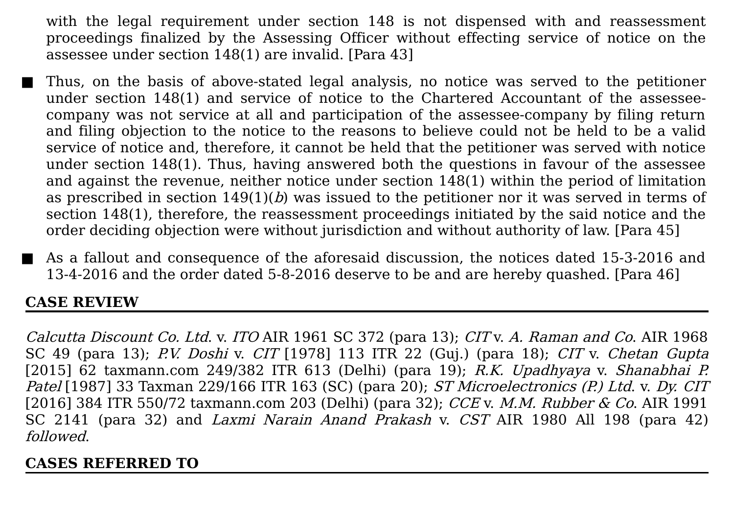with the legal requirement under section 148 is not dispensed with and reassessment proceedings finalized by the Assessing Officer without effecting service of notice on the assessee under section 148(1) are invalid. [Para 43]

- Thus, on the basis of above-stated legal analysis, no notice was served to the petitioner under section 148(1) and service of notice to the Chartered Accountant of the assesseecompany was not service at all and participation of the assessee-company by filing return and filing objection to the notice to the reasons to believe could not be held to be a valid service of notice and, therefore, it cannot be held that the petitioner was served with notice under section 148(1). Thus, having answered both the questions in favour of the assessee and against the revenue, neither notice under section 148(1) within the period of limitation as prescribed in section  $149(1)(b)$  was issued to the petitioner nor it was served in terms of section 148(1), therefore, the reassessment proceedings initiated by the said notice and the order deciding objection were without jurisdiction and without authority of law. [Para 45]
- As a fallout and consequence of the aforesaid discussion, the notices dated 15-3-2016 and 13-4-2016 and the order dated 5-8-2016 deserve to be and are hereby quashed. [Para 46]

### **CASE REVIEW**

Calcutta Discount Co. Ltd. v. ITO AIR 1961 SC 372 (para 13); CIT v. A. Raman and Co. AIR 1968 SC 49 (para 13); P.V. Doshi v. CIT [\[1978\]](javascript:void(0);) 113 ITR 22 (Guj.) (para 18); CIT v. Chetan Gupta [2015] 62 [taxmann.com](javascript:void(0);) 249/382 ITR 613 (Delhi) (para 19); R.K. Upadhyaya v. Shanabhai P. Patel [1987] 33 Taxman [229/166](javascript:void(0);) ITR 163 (SC) (para 20); ST Microelectronics (P.) Ltd. v. Dy. CIT [2016] 384 ITR 550/72 [taxmann.com](javascript:void(0);) 203 (Delhi) (para 32); CCE v. M.M. Rubber & Co. AIR 1991 SC 2141 (para 32) and Laxmi Narain Anand Prakash v. CST AIR 1980 All 198 (para 42) followed.

#### **CASES REFERRED TO**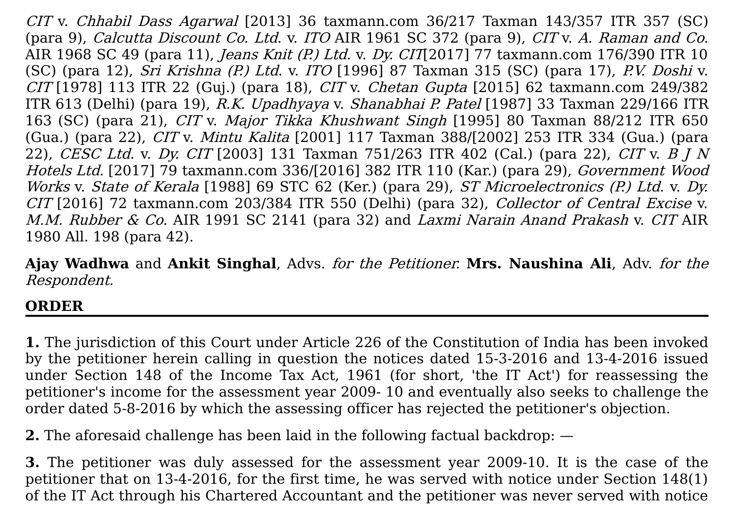CIT v. Chhabil Dass Agarwal [2013] 36 [taxmann.com](javascript:void(0);) 36/217 Taxman 143/357 ITR 357 (SC) (para 9), Calcutta Discount Co. Ltd. v. ITO AIR 1961 SC 372 (para 9), CIT v. A. Raman and Co. AIR 1968 SC 49 (para 11), Jeans Knit (P.) Ltd. v. Dy. CIT[2017] 77 [taxmann.com](javascript:void(0);) 176/390 ITR 10 (SC) (para 12), Sri Krishna (P.) Ltd. v. ITO [1996] 87 [Taxman](javascript:void(0);) 315 (SC) (para 17), P.V. Doshi v.  $CIT [1978]$  $CIT [1978]$  113 ITR 22 (Guj.) (para 18),  $CIT$  v. *Chetan Gupta* [2015] 62 [taxmann.com](javascript:void(0);) 249/382 ITR 613 (Delhi) (para 19), R.K. [Upadhyaya](javascript:void(0);) v. Shanabhai P. Patel [1987] 33 Taxman 229/166 ITR 163 (SC) (para 21), CIT v. Major Tikka Khushwant Singh [1995] 80 Taxman 88/212 ITR 650 (Gua.) (para 22), CIT v. Mintu Kalita [2001] 117 Taxman [388/\[2002\]](javascript:void(0);) 253 ITR 334 (Gua.) (para 22), CESC Ltd. v. Dy. CIT [2003] 131 Taxman [751/263](javascript:void(0);) ITR 402 (Cal.) (para 22), CIT v. B J N Hotels Ltd. [2017] 79 [taxmann.com](javascript:void(0);) 336/[2016] 382 ITR 110 (Kar.) (para 29), Government Wood Works v. State of Kerala [1988] 69 STC 62 (Ker.) (para 29), ST Microelectronics (P.) Ltd. v. Dy. CIT [2016] 72 [taxmann.com](javascript:void(0);) 203/384 ITR 550 (Delhi) (para 32), Collector of Central Excise v. M.M. Rubber & Co. AIR 1991 SC 2141 (para 32) and Laxmi Narain Anand Prakash v. CIT AIR 1980 All. 198 (para 42).

**Ajay Wadhwa** and **Ankit Singhal**, Advs. for the Petitioner. **Mrs. Naushina Ali**, Adv. for the Respondent.

## **ORDER**

**1.** The jurisdiction of this Court under Article 226 of the Constitution of India has been invoked by the petitioner herein calling in question the notices dated 15-3-2016 and 13-4-2016 issued under Section 148 of the Income Tax Act, 1961 (for short, 'the IT Act') for reassessing the petitioner's income for the assessment year 2009- 10 and eventually also seeks to challenge the order dated 5-8-2016 by which the assessing officer has rejected the petitioner's objection.

**2.** The aforesaid challenge has been laid in the following factual backdrop: —

**3.** The petitioner was duly assessed for the assessment year 2009-10. It is the case of the petitioner that on 13-4-2016, for the first time, he was served with notice under Section 148(1) of the IT Act through his Chartered Accountant and the petitioner was never served with notice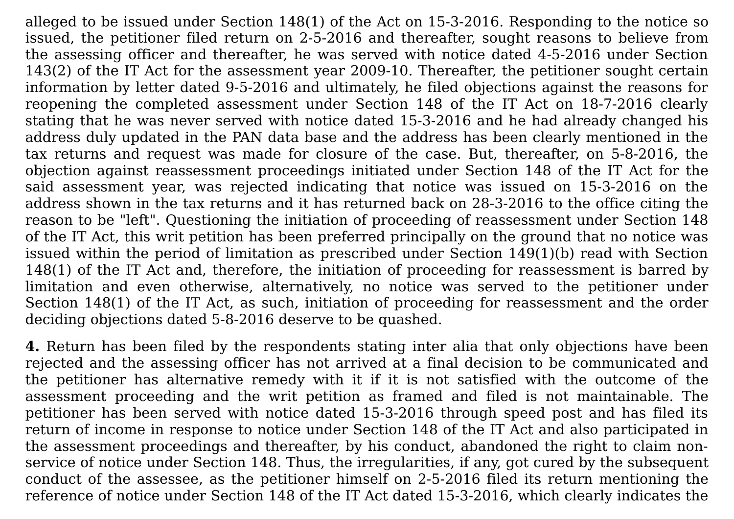alleged to be issued under Section 148(1) of the Act on 15-3-2016. Responding to the notice so issued, the petitioner filed return on 2-5-2016 and thereafter, sought reasons to believe from the assessing officer and thereafter, he was served with notice dated 4-5-2016 under Section 143(2) of the IT Act for the assessment year 2009-10. Thereafter, the petitioner sought certain information by letter dated 9-5-2016 and ultimately, he filed objections against the reasons for reopening the completed assessment under Section 148 of the IT Act on 18-7-2016 clearly stating that he was never served with notice dated 15-3-2016 and he had already changed his address duly updated in the PAN data base and the address has been clearly mentioned in the tax returns and request was made for closure of the case. But, thereafter, on 5-8-2016, the objection against reassessment proceedings initiated under Section 148 of the IT Act for the said assessment year, was rejected indicating that notice was issued on 15-3-2016 on the address shown in the tax returns and it has returned back on 28-3-2016 to the office citing the reason to be "left". Questioning the initiation of proceeding of reassessment under Section 148 of the IT Act, this writ petition has been preferred principally on the ground that no notice was issued within the period of limitation as prescribed under Section 149(1)(b) read with Section 148(1) of the IT Act and, therefore, the initiation of proceeding for reassessment is barred by limitation and even otherwise, alternatively, no notice was served to the petitioner under Section 148(1) of the IT Act, as such, initiation of proceeding for reassessment and the order deciding objections dated 5-8-2016 deserve to be quashed.

**4.** Return has been filed by the respondents stating inter alia that only objections have been rejected and the assessing officer has not arrived at a final decision to be communicated and the petitioner has alternative remedy with it if it is not satisfied with the outcome of the assessment proceeding and the writ petition as framed and filed is not maintainable. The petitioner has been served with notice dated 15-3-2016 through speed post and has filed its return of income in response to notice under Section 148 of the IT Act and also participated in the assessment proceedings and thereafter, by his conduct, abandoned the right to claim nonservice of notice under Section 148. Thus, the irregularities, if any, got cured by the subsequent conduct of the assessee, as the petitioner himself on 2-5-2016 filed its return mentioning the reference of notice under Section 148 of the IT Act dated 15-3-2016, which clearly indicates the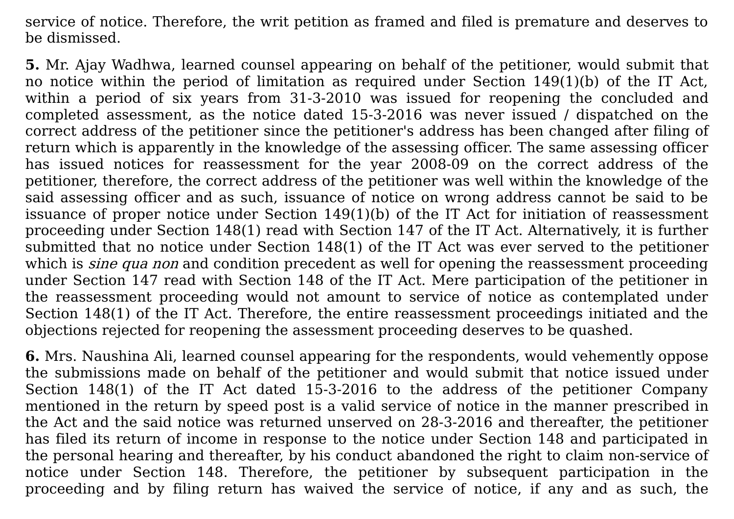service of notice. Therefore, the writ petition as framed and filed is premature and deserves to be dismissed.

**5.** Mr. Ajay Wadhwa, learned counsel appearing on behalf of the petitioner, would submit that no notice within the period of limitation as required under Section 149(1)(b) of the IT Act, within a period of six years from 31-3-2010 was issued for reopening the concluded and completed assessment, as the notice dated 15-3-2016 was never issued / dispatched on the correct address of the petitioner since the petitioner's address has been changed after filing of return which is apparently in the knowledge of the assessing officer. The same assessing officer has issued notices for reassessment for the year 2008-09 on the correct address of the petitioner, therefore, the correct address of the petitioner was well within the knowledge of the said assessing officer and as such, issuance of notice on wrong address cannot be said to be issuance of proper notice under Section 149(1)(b) of the IT Act for initiation of reassessment proceeding under Section 148(1) read with Section 147 of the IT Act. Alternatively, it is further submitted that no notice under Section 148(1) of the IT Act was ever served to the petitioner which is *sine qua non* and condition precedent as well for opening the reassessment proceeding under Section 147 read with Section 148 of the IT Act. Mere participation of the petitioner in the reassessment proceeding would not amount to service of notice as contemplated under Section 148(1) of the IT Act. Therefore, the entire reassessment proceedings initiated and the objections rejected for reopening the assessment proceeding deserves to be quashed.

**6.** Mrs. Naushina Ali, learned counsel appearing for the respondents, would vehemently oppose the submissions made on behalf of the petitioner and would submit that notice issued under Section 148(1) of the IT Act dated 15-3-2016 to the address of the petitioner Company mentioned in the return by speed post is a valid service of notice in the manner prescribed in the Act and the said notice was returned unserved on 28-3-2016 and thereafter, the petitioner has filed its return of income in response to the notice under Section 148 and participated in the personal hearing and thereafter, by his conduct abandoned the right to claim non-service of notice under Section 148. Therefore, the petitioner by subsequent participation in the proceeding and by filing return has waived the service of notice, if any and as such, the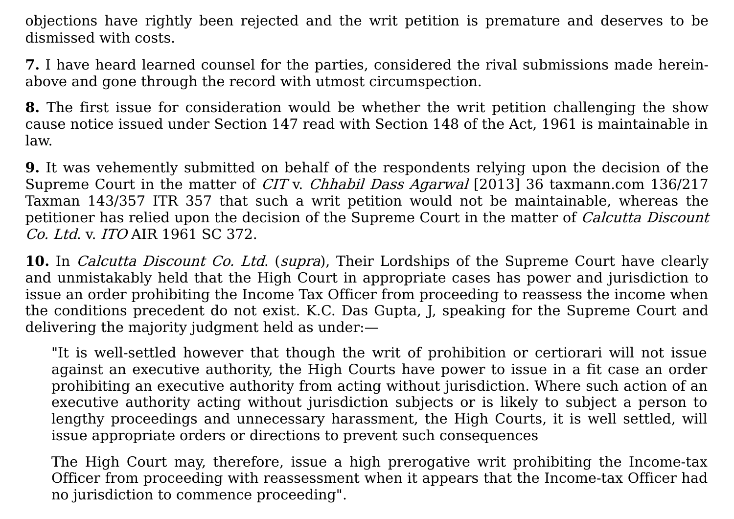objections have rightly been rejected and the writ petition is premature and deserves to be dismissed with costs.

**7.** I have heard learned counsel for the parties, considered the rival submissions made hereinabove and gone through the record with utmost circumspection.

**8.** The first issue for consideration would be whether the writ petition challenging the show cause notice issued under Section 147 read with Section 148 of the Act, 1961 is maintainable in law.

**9.** It was vehemently submitted on behalf of the respondents relying upon the decision of the Supreme Court in the matter of CIT v. Chhabil Dass Agarwal [2013] 36 taxmann.com 136/217 Taxman 143/357 ITR 357 that such a writ petition would not be [maintainable,](javascript:void(0);) whereas the petitioner has relied upon the decision of the Supreme Court in the matter of *Calcutta Discount* Co. Ltd. v. ITO AIR 1961 SC 372.

**10.** In Calcutta Discount Co. Ltd. (supra), Their Lordships of the Supreme Court have clearly and unmistakably held that the High Court in appropriate cases has power and jurisdiction to issue an order prohibiting the Income Tax Officer from proceeding to reassess the income when the conditions precedent do not exist. K.C. Das Gupta, J, speaking for the Supreme Court and delivering the majority judgment held as under:—

"It is well-settled however that though the writ of prohibition or certiorari will not issue against an executive authority, the High Courts have power to issue in a fit case an order prohibiting an executive authority from acting without jurisdiction. Where such action of an executive authority acting without jurisdiction subjects or is likely to subject a person to lengthy proceedings and unnecessary harassment, the High Courts, it is well settled, will issue appropriate orders or directions to prevent such consequences

The High Court may, therefore, issue a high prerogative writ prohibiting the Income-tax Officer from proceeding with reassessment when it appears that the Income-tax Officer had no jurisdiction to commence proceeding".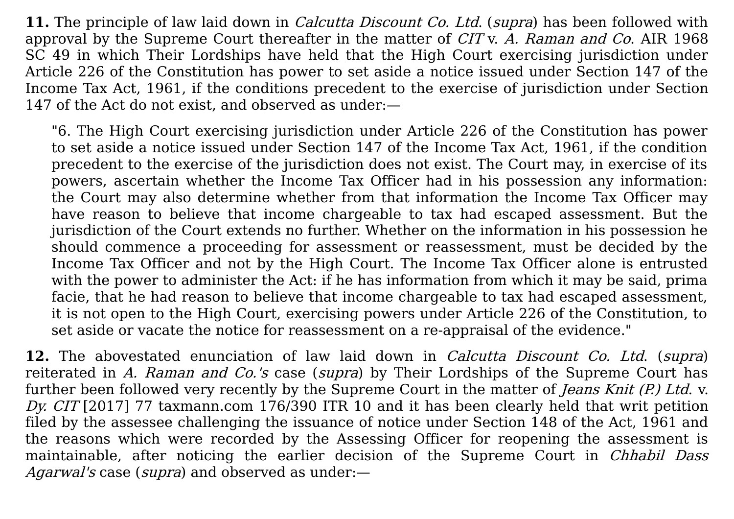**11.** The principle of law laid down in *Calcutta Discount Co. Ltd.* (*supra*) has been followed with approval by the Supreme Court thereafter in the matter of CIT v. A. Raman and Co. AIR 1968 SC 49 in which Their Lordships have held that the High Court exercising jurisdiction under Article 226 of the Constitution has power to set aside a notice issued under Section 147 of the Income Tax Act, 1961, if the conditions precedent to the exercise of jurisdiction under Section 147 of the Act do not exist, and observed as under:—

"6. The High Court exercising jurisdiction under Article 226 of the Constitution has power to set aside a notice issued under Section 147 of the Income Tax Act, 1961, if the condition precedent to the exercise of the jurisdiction does not exist. The Court may, in exercise of its powers, ascertain whether the Income Tax Officer had in his possession any information: the Court may also determine whether from that information the Income Tax Officer may have reason to believe that income chargeable to tax had escaped assessment. But the jurisdiction of the Court extends no further. Whether on the information in his possession he should commence a proceeding for assessment or reassessment, must be decided by the Income Tax Officer and not by the High Court. The Income Tax Officer alone is entrusted with the power to administer the Act: if he has information from which it may be said, prima facie, that he had reason to believe that income chargeable to tax had escaped assessment, it is not open to the High Court, exercising powers under Article 226 of the Constitution, to set aside or vacate the notice for reassessment on a re-appraisal of the evidence."

**12.** The abovestated enunciation of law laid down in Calcutta Discount Co. Ltd. (supra) reiterated in A. Raman and Co.'s case (supra) by Their Lordships of the Supreme Court has further been followed very recently by the Supreme Court in the matter of *Jeans Knit (P.) Ltd.* v. Dy. CIT [2017] 77 [taxmann.com](javascript:void(0);) 176/390 ITR 10 and it has been clearly held that writ petition filed by the assessee challenging the issuance of notice under Section 148 of the Act, 1961 and the reasons which were recorded by the Assessing Officer for reopening the assessment is maintainable, after noticing the earlier decision of the Supreme Court in *Chhabil Dass* Agarwal's case (supra) and observed as under:-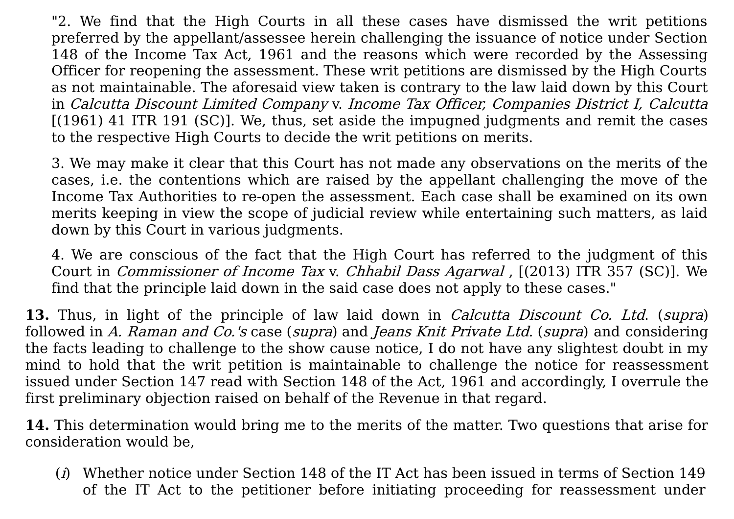"2. We find that the High Courts in all these cases have dismissed the writ petitions preferred by the appellant/assessee herein challenging the issuance of notice under Section 148 of the Income Tax Act, 1961 and the reasons which were recorded by the Assessing Officer for reopening the assessment. These writ petitions are dismissed by the High Courts as not maintainable. The aforesaid view taken is contrary to the law laid down by this Court in Calcutta Discount Limited Company v. Income Tax Officer, Companies District I, Calcutta [\[\(1961\)](javascript:void(0);) 41 ITR 191 (SC)]. We, thus, set aside the impugned judgments and remit the cases to the respective High Courts to decide the writ petitions on merits.

3. We may make it clear that this Court has not made any observations on the merits of the cases, i.e. the contentions which are raised by the appellant challenging the move of the Income Tax Authorities to re-open the assessment. Each case shall be examined on its own merits keeping in view the scope of judicial review while entertaining such matters, as laid down by this Court in various judgments.

4. We are conscious of the fact that the High Court has referred to the judgment of this Court in Commissioner of Income Tax v. Chhabil Dass Agarwal , [\[\(2013\)](javascript:void(0);) ITR 357 (SC)]. We find that the principle laid down in the said case does not apply to these cases."

**13.** Thus, in light of the principle of law laid down in Calcutta Discount Co. Ltd. (supra) followed in A. Raman and Co.'s case (supra) and Jeans Knit Private Ltd. (supra) and considering the facts leading to challenge to the show cause notice, I do not have any slightest doubt in my mind to hold that the writ petition is maintainable to challenge the notice for reassessment issued under Section 147 read with Section 148 of the Act, 1961 and accordingly, I overrule the first preliminary objection raised on behalf of the Revenue in that regard.

**14.** This determination would bring me to the merits of the matter. Two questions that arise for consideration would be,

(i) Whether notice under Section 148 of the IT Act has been issued in terms of Section 149 of the IT Act to the petitioner before initiating proceeding for reassessment under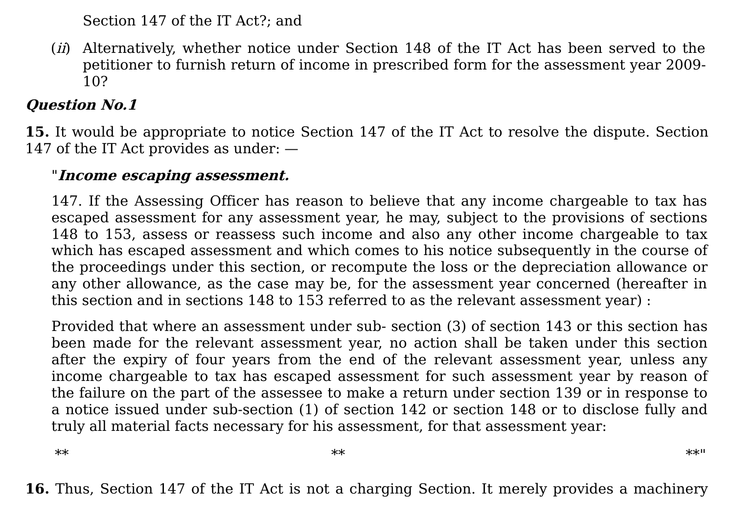Section 147 of the IT Act?; and

(*ii*) Alternatively, whether notice under Section 148 of the IT Act has been served to the petitioner to furnish return of income in prescribed form for the assessment year 2009- 10?

## **Question No.1**

**15.** It would be appropriate to notice Section 147 of the IT Act to resolve the dispute. Section 147 of the IT Act provides as under: —

#### "**Income escaping assessment.**

147. If the Assessing Officer has reason to believe that any income chargeable to tax has escaped assessment for any assessment year, he may, subject to the provisions of sections 148 to 153, assess or reassess such income and also any other income chargeable to tax which has escaped assessment and which comes to his notice subsequently in the course of the proceedings under this section, or recompute the loss or the depreciation allowance or any other allowance, as the case may be, for the assessment year concerned (hereafter in this section and in sections 148 to 153 referred to as the relevant assessment year) :

Provided that where an assessment under sub- section (3) of section 143 or this section has been made for the relevant assessment year, no action shall be taken under this section after the expiry of four years from the end of the relevant assessment year, unless any income chargeable to tax has escaped assessment for such assessment year by reason of the failure on the part of the assessee to make a return under section 139 or in response to a notice issued under sub-section (1) of section 142 or section 148 or to disclose fully and truly all material facts necessary for his assessment, for that assessment year:

\*\* \*\* \*\*"

**16.** Thus, Section 147 of the IT Act is not a charging Section. It merely provides a machinery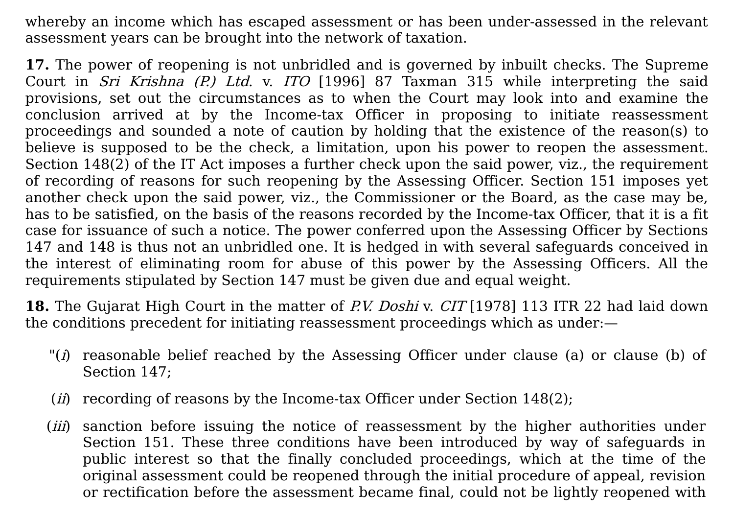whereby an income which has escaped assessment or has been under-assessed in the relevant assessment years can be brought into the network of taxation.

**17.** The power of reopening is not unbridled and is governed by inbuilt checks. The Supreme Court in *Sri Krishna (P.) Ltd.* v. ITO [1996] 87 [Taxman](javascript:void(0);) 315 while interpreting the said provisions, set out the circumstances as to when the Court may look into and examine the conclusion arrived at by the Income-tax Officer in proposing to initiate reassessment proceedings and sounded a note of caution by holding that the existence of the reason(s) to believe is supposed to be the check, a limitation, upon his power to reopen the assessment. Section 148(2) of the IT Act imposes a further check upon the said power, viz., the requirement of recording of reasons for such reopening by the Assessing Officer. Section 151 imposes yet another check upon the said power, viz., the Commissioner or the Board, as the case may be, has to be satisfied, on the basis of the reasons recorded by the Income-tax Officer, that it is a fit case for issuance of such a notice. The power conferred upon the Assessing Officer by Sections 147 and 148 is thus not an unbridled one. It is hedged in with several safeguards conceived in the interest of eliminating room for abuse of this power by the Assessing Officers. All the requirements stipulated by Section 147 must be given due and equal weight.

**18.** The Gujarat High Court in the matter of P.V. Doshi v. CIT [\[1978\]](javascript:void(0);) 113 ITR 22 had laid down the conditions precedent for initiating reassessment proceedings which as under:—

- " $(i)$  reasonable belief reached by the Assessing Officer under clause (a) or clause (b) of Section 147;
- (*ii*) recording of reasons by the Income-tax Officer under Section  $148(2)$ ;
- (*iii*) sanction before issuing the notice of reassessment by the higher authorities under Section 151. These three conditions have been introduced by way of safeguards in public interest so that the finally concluded proceedings, which at the time of the original assessment could be reopened through the initial procedure of appeal, revision or rectification before the assessment became final, could not be lightly reopened with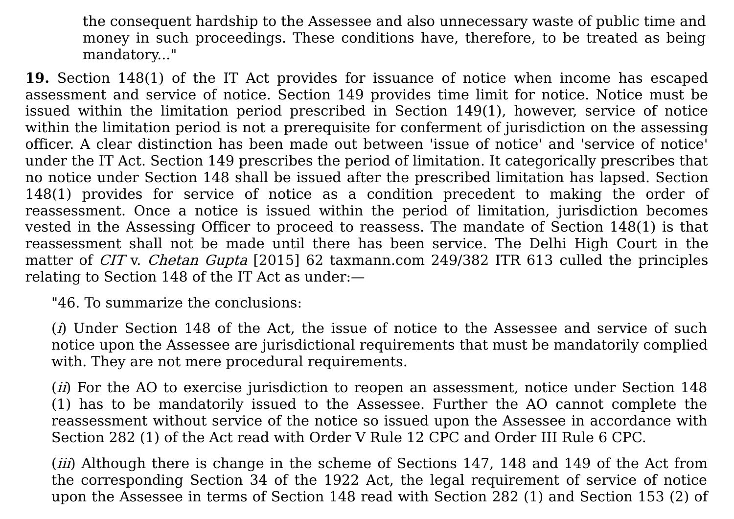the consequent hardship to the Assessee and also unnecessary waste of public time and money in such proceedings. These conditions have, therefore, to be treated as being mandatory..."

**19.** Section 148(1) of the IT Act provides for issuance of notice when income has escaped assessment and service of notice. Section 149 provides time limit for notice. Notice must be issued within the limitation period prescribed in Section 149(1), however, service of notice within the limitation period is not a prerequisite for conferment of jurisdiction on the assessing officer. A clear distinction has been made out between 'issue of notice' and 'service of notice' under the IT Act. Section 149 prescribes the period of limitation. It categorically prescribes that no notice under Section 148 shall be issued after the prescribed limitation has lapsed. Section 148(1) provides for service of notice as a condition precedent to making the order of reassessment. Once a notice is issued within the period of limitation, jurisdiction becomes vested in the Assessing Officer to proceed to reassess. The mandate of Section 148(1) is that reassessment shall not be made until there has been service. The Delhi High Court in the matter of CIT v. Chetan Gupta [2015] 62 [taxmann.com](javascript:void(0);) 249/382 ITR 613 culled the principles relating to Section 148 of the IT Act as under:—

"46. To summarize the conclusions:

(i) Under Section 148 of the Act, the issue of notice to the Assessee and service of such notice upon the Assessee are jurisdictional requirements that must be mandatorily complied with. They are not mere procedural requirements.

(*ii*) For the AO to exercise jurisdiction to reopen an assessment, notice under Section 148 (1) has to be mandatorily issued to the Assessee. Further the AO cannot complete the reassessment without service of the notice so issued upon the Assessee in accordance with Section 282 (1) of the Act read with Order V Rule 12 CPC and Order III Rule 6 CPC.

(*iii*) Although there is change in the scheme of Sections 147, 148 and 149 of the Act from the corresponding Section 34 of the 1922 Act, the legal requirement of service of notice upon the Assessee in terms of Section 148 read with Section 282 (1) and Section 153 (2) of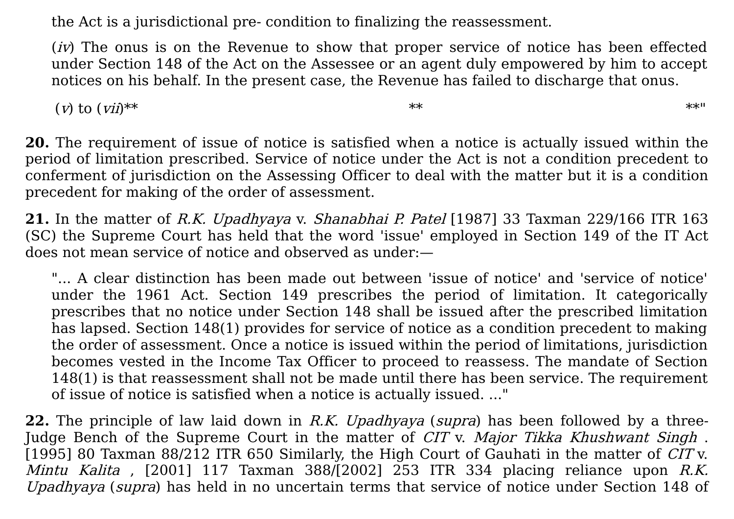the Act is a jurisdictional pre- condition to finalizing the reassessment.

 $(iv)$  The onus is on the Revenue to show that proper service of notice has been effected under Section 148 of the Act on the Assessee or an agent duly empowered by him to accept notices on his behalf. In the present case, the Revenue has failed to discharge that onus.

(*v*) to  $(vii)^{**}$  \*\*

**20.** The requirement of issue of notice is satisfied when a notice is actually issued within the period of limitation prescribed. Service of notice under the Act is not a condition precedent to conferment of jurisdiction on the Assessing Officer to deal with the matter but it is a condition precedent for making of the order of assessment.

21. In the matter of R.K. [Upadhyaya](javascript:void(0);) v. Shanabhai P. Patel [1987] 33 Taxman 229/166 ITR 163 (SC) the Supreme Court has held that the word 'issue' employed in Section 149 of the IT Act does not mean service of notice and observed as under:—

"... A clear distinction has been made out between 'issue of notice' and 'service of notice' under the 1961 Act. Section 149 prescribes the period of limitation. It categorically prescribes that no notice under Section 148 shall be issued after the prescribed limitation has lapsed. Section 148(1) provides for service of notice as a condition precedent to making the order of assessment. Once a notice is issued within the period of limitations, jurisdiction becomes vested in the Income Tax Officer to proceed to reassess. The mandate of Section 148(1) is that reassessment shall not be made until there has been service. The requirement of issue of notice is satisfied when a notice is actually issued. ..."

**22.** The principle of law laid down in R.K. Upadhyaya (supra) has been followed by a three-Judge Bench of the Supreme Court in the matter of CIT v. Major Tikka Khushwant Singh. [1995] 80 [Taxman](javascript:void(0);) 88/212 ITR 650 Similarly, the High Court of Gauhati in the matter of CIT v. Mintu Kalita ,  $[2001]$  117 Taxman 388/ $[2002]$  253 ITR 334 placing reliance upon R.K. Upadhyaya (supra) has held in no uncertain terms that service of notice under Section 148 of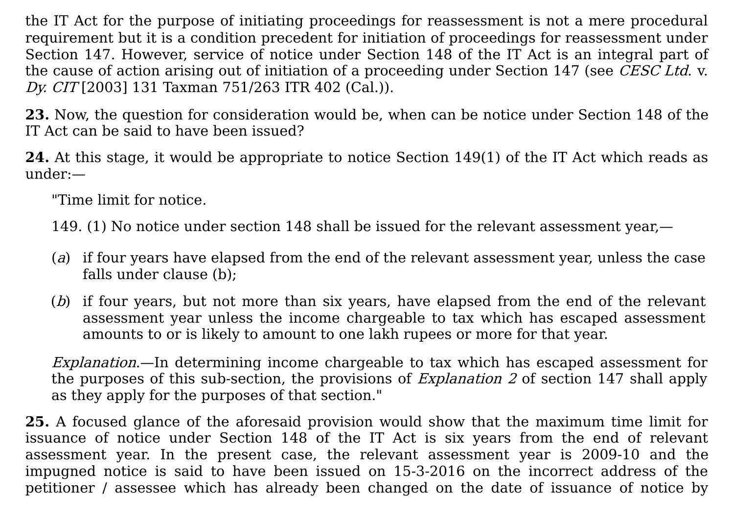the IT Act for the purpose of initiating proceedings for reassessment is not a mere procedural requirement but it is a condition precedent for initiation of proceedings for reassessment under Section 147. However, service of notice under Section 148 of the IT Act is an integral part of the cause of action arising out of initiation of a proceeding under Section 147 (see CESC Ltd. v. Dy. CIT [2003] 131 Taxman [751/263](javascript:void(0);) ITR 402 (Cal.)).

**23.** Now, the question for consideration would be, when can be notice under Section 148 of the IT Act can be said to have been issued?

**24.** At this stage, it would be appropriate to notice Section 149(1) of the IT Act which reads as under:—

"Time limit for notice.

149. (1) No notice under section 148 shall be issued for the relevant assessment year,—

- (a) if four years have elapsed from the end of the relevant assessment year, unless the case falls under clause (b);
- (b) if four years, but not more than six years, have elapsed from the end of the relevant assessment year unless the income chargeable to tax which has escaped assessment amounts to or is likely to amount to one lakh rupees or more for that year.

Explanation.—In determining income chargeable to tax which has escaped assessment for the purposes of this sub-section, the provisions of *Explanation 2* of section 147 shall apply as they apply for the purposes of that section."

**25.** A focused glance of the aforesaid provision would show that the maximum time limit for issuance of notice under Section 148 of the IT Act is six years from the end of relevant assessment year. In the present case, the relevant assessment year is 2009-10 and the impugned notice is said to have been issued on 15-3-2016 on the incorrect address of the petitioner / assessee which has already been changed on the date of issuance of notice by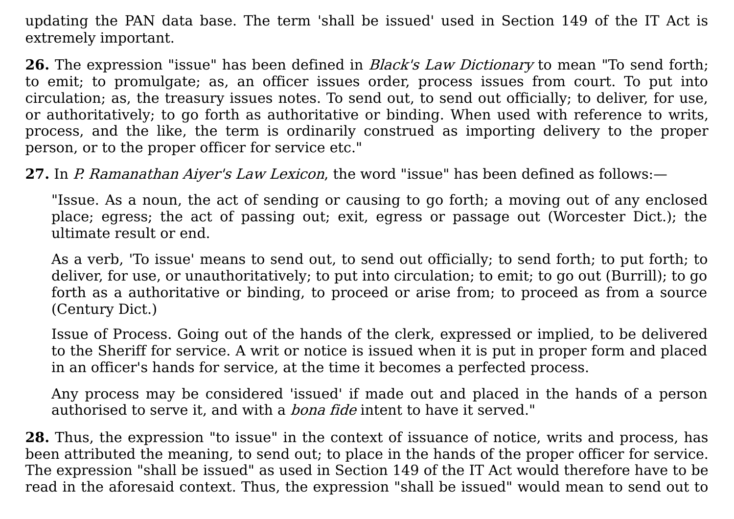updating the PAN data base. The term 'shall be issued' used in Section 149 of the IT Act is extremely important.

**26.** The expression "issue" has been defined in Black's Law Dictionary to mean "To send forth; to emit; to promulgate; as, an officer issues order, process issues from court. To put into circulation; as, the treasury issues notes. To send out, to send out officially; to deliver, for use, or authoritatively; to go forth as authoritative or binding. When used with reference to writs, process, and the like, the term is ordinarily construed as importing delivery to the proper person, or to the proper officer for service etc."

**27.** In P. Ramanathan Aiyer's Law Lexicon, the word "issue" has been defined as follows:—

"Issue. As a noun, the act of sending or causing to go forth; a moving out of any enclosed place; egress; the act of passing out; exit, egress or passage out (Worcester Dict.); the ultimate result or end.

As a verb, 'To issue' means to send out, to send out officially; to send forth; to put forth; to deliver, for use, or unauthoritatively; to put into circulation; to emit; to go out (Burrill); to go forth as a authoritative or binding, to proceed or arise from; to proceed as from a source (Century Dict.)

Issue of Process. Going out of the hands of the clerk, expressed or implied, to be delivered to the Sheriff for service. A writ or notice is issued when it is put in proper form and placed in an officer's hands for service, at the time it becomes a perfected process.

Any process may be considered 'issued' if made out and placed in the hands of a person authorised to serve it, and with a *bona fide* intent to have it served."

**28.** Thus, the expression "to issue" in the context of issuance of notice, writs and process, has been attributed the meaning, to send out; to place in the hands of the proper officer for service. The expression "shall be issued" as used in Section 149 of the IT Act would therefore have to be read in the aforesaid context. Thus, the expression "shall be issued" would mean to send out to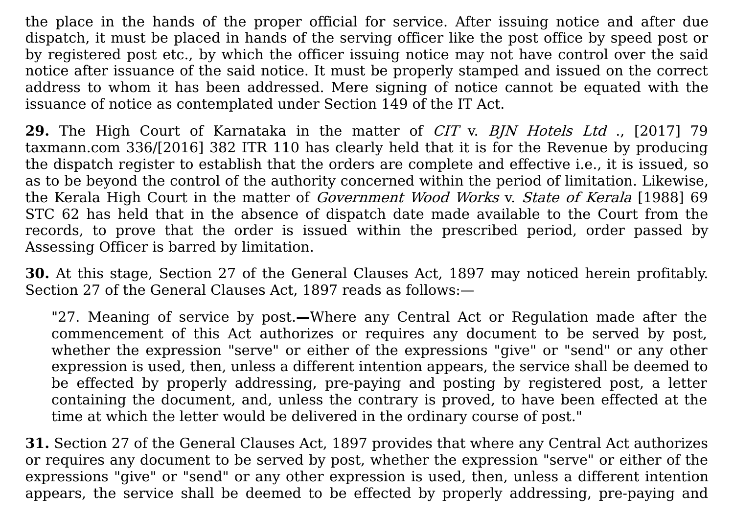the place in the hands of the proper official for service. After issuing notice and after due dispatch, it must be placed in hands of the serving officer like the post office by speed post or by registered post etc., by which the officer issuing notice may not have control over the said notice after issuance of the said notice. It must be properly stamped and issued on the correct address to whom it has been addressed. Mere signing of notice cannot be equated with the issuance of notice as contemplated under Section 149 of the IT Act.

**29.** The High Court of Karnataka in the matter of CIT v. BJN Hotels Ltd ., [2017] 79 [taxmann.com](javascript:void(0);) 336/[2016] 382 ITR 110 has clearly held that it is for the Revenue by producing the dispatch register to establish that the orders are complete and effective i.e., it is issued, so as to be beyond the control of the authority concerned within the period of limitation. Likewise, the Kerala High Court in the matter of *Government Wood Works v. State of Kerala* [1988] 69 STC 62 has held that in the absence of dispatch date made available to the Court from the records, to prove that the order is issued within the prescribed period, order passed by Assessing Officer is barred by limitation.

**30.** At this stage, Section 27 of the General Clauses Act, 1897 may noticed herein profitably. Section 27 of the General Clauses Act, 1897 reads as follows:—

"27. Meaning of service by post.**—**Where any Central Act or Regulation made after the commencement of this Act authorizes or requires any document to be served by post, whether the expression "serve" or either of the expressions "give" or "send" or any other expression is used, then, unless a different intention appears, the service shall be deemed to be effected by properly addressing, pre-paying and posting by registered post, a letter containing the document, and, unless the contrary is proved, to have been effected at the time at which the letter would be delivered in the ordinary course of post."

**31.** Section 27 of the General Clauses Act, 1897 provides that where any Central Act authorizes or requires any document to be served by post, whether the expression "serve" or either of the expressions "give" or "send" or any other expression is used, then, unless a different intention appears, the service shall be deemed to be effected by properly addressing, pre-paying and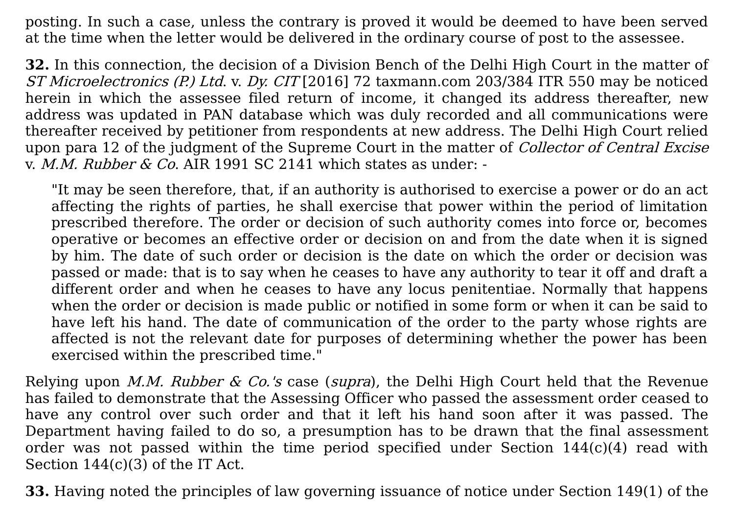posting. In such a case, unless the contrary is proved it would be deemed to have been served at the time when the letter would be delivered in the ordinary course of post to the assessee.

**32.** In this connection, the decision of a Division Bench of the Delhi High Court in the matter of ST Microelectronics (P.) Ltd. v. Dy. CIT [2016] 72 [taxmann.com](javascript:void(0);) 203/384 ITR 550 may be noticed herein in which the assessee filed return of income, it changed its address thereafter, new address was updated in PAN database which was duly recorded and all communications were thereafter received by petitioner from respondents at new address. The Delhi High Court relied upon para 12 of the judgment of the Supreme Court in the matter of *Collector of Central Excise* v. M.M. Rubber  $\&$  Co. AIR 1991 SC 2141 which states as under: -

"It may be seen therefore, that, if an authority is authorised to exercise a power or do an act affecting the rights of parties, he shall exercise that power within the period of limitation prescribed therefore. The order or decision of such authority comes into force or, becomes operative or becomes an effective order or decision on and from the date when it is signed by him. The date of such order or decision is the date on which the order or decision was passed or made: that is to say when he ceases to have any authority to tear it off and draft a different order and when he ceases to have any locus penitentiae. Normally that happens when the order or decision is made public or notified in some form or when it can be said to have left his hand. The date of communication of the order to the party whose rights are affected is not the relevant date for purposes of determining whether the power has been exercised within the prescribed time."

Relying upon *M.M. Rubber & Co.'s* case (*supra*), the Delhi High Court held that the Revenue has failed to demonstrate that the Assessing Officer who passed the assessment order ceased to have any control over such order and that it left his hand soon after it was passed. The Department having failed to do so, a presumption has to be drawn that the final assessment order was not passed within the time period specified under Section 144(c)(4) read with Section 144(c)(3) of the IT Act.

**33.** Having noted the principles of law governing issuance of notice under Section 149(1) of the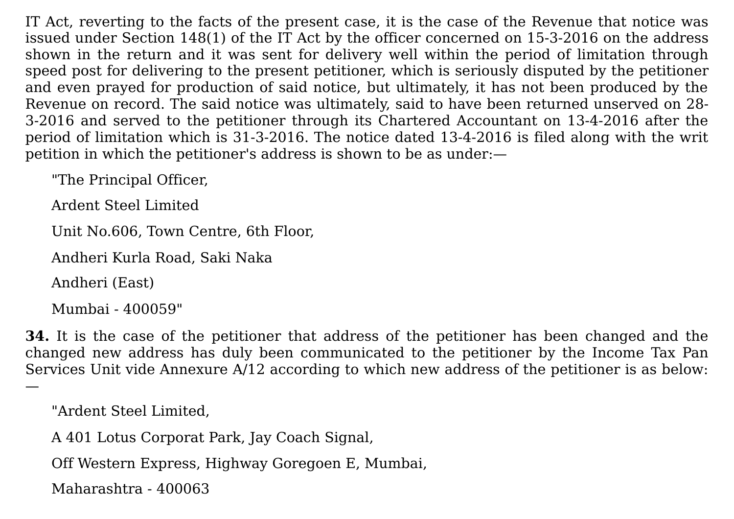IT Act, reverting to the facts of the present case, it is the case of the Revenue that notice was issued under Section 148(1) of the IT Act by the officer concerned on 15-3-2016 on the address shown in the return and it was sent for delivery well within the period of limitation through speed post for delivering to the present petitioner, which is seriously disputed by the petitioner and even prayed for production of said notice, but ultimately, it has not been produced by the Revenue on record. The said notice was ultimately, said to have been returned unserved on 28- 3-2016 and served to the petitioner through its Chartered Accountant on 13-4-2016 after the period of limitation which is 31-3-2016. The notice dated 13-4-2016 is filed along with the writ petition in which the petitioner's address is shown to be as under:—

"The Principal Officer,

Ardent Steel Limited

Unit No.606, Town Centre, 6th Floor,

Andheri Kurla Road, Saki Naka

Andheri (East)

—

Mumbai - 400059"

**34.** It is the case of the petitioner that address of the petitioner has been changed and the changed new address has duly been communicated to the petitioner by the Income Tax Pan Services Unit vide Annexure A/12 according to which new address of the petitioner is as below:

```
"Ardent Steel Limited,
```
A 401 Lotus Corporat Park, Jay Coach Signal,

Off Western Express, Highway Goregoen E, Mumbai,

Maharashtra - 400063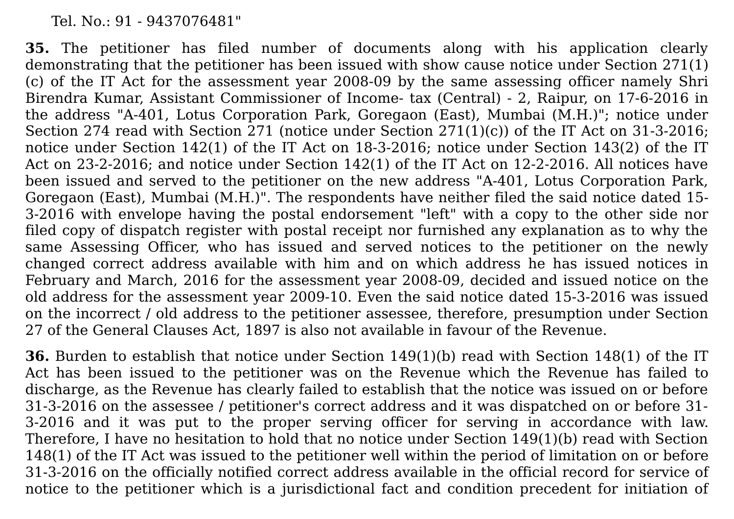Tel. No.: 91 - 9437076481"

**35.** The petitioner has filed number of documents along with his application clearly demonstrating that the petitioner has been issued with show cause notice under Section 271(1) (c) of the IT Act for the assessment year 2008-09 by the same assessing officer namely Shri Birendra Kumar, Assistant Commissioner of Income- tax (Central) - 2, Raipur, on 17-6-2016 in the address "A-401, Lotus Corporation Park, Goregaon (East), Mumbai (M.H.)" ; notice under Section 274 read with Section 271 (notice under Section 271(1)(c)) of the IT Act on 31-3-2016; notice under Section 142(1) of the IT Act on 18-3-2016; notice under Section 143(2) of the IT Act on 23-2-2016; and notice under Section 142(1) of the IT Act on 12-2-2016. All notices have been issued and served to the petitioner on the new address "A-401, Lotus Corporation Park, Goregaon (East), Mumbai (M.H.)". The respondents have neither filed the said notice dated 15- 3-2016 with envelope having the postal endorsement "left" with a copy to the other side nor filed copy of dispatch register with postal receipt nor furnished any explanation as to why the same Assessing Officer, who has issued and served notices to the petitioner on the newly changed correct address available with him and on which address he has issued notices in February and March, 2016 for the assessment year 2008-09, decided and issued notice on the old address for the assessment year 2009-10. Even the said notice dated 15-3-2016 was issued on the incorrect / old address to the petitioner assessee, therefore, presumption under Section 27 of the General Clauses Act, 1897 is also not available in favour of the Revenue.

**36.** Burden to establish that notice under Section 149(1)(b) read with Section 148(1) of the IT Act has been issued to the petitioner was on the Revenue which the Revenue has failed to discharge, as the Revenue has clearly failed to establish that the notice was issued on or before 31-3-2016 on the assessee / petitioner's correct address and it was dispatched on or before 31- 3-2016 and it was put to the proper serving officer for serving in accordance with law. Therefore, I have no hesitation to hold that no notice under Section 149(1)(b) read with Section 148(1) of the IT Act was issued to the petitioner well within the period of limitation on or before 31-3-2016 on the officially notified correct address available in the official record for service of notice to the petitioner which is a jurisdictional fact and condition precedent for initiation of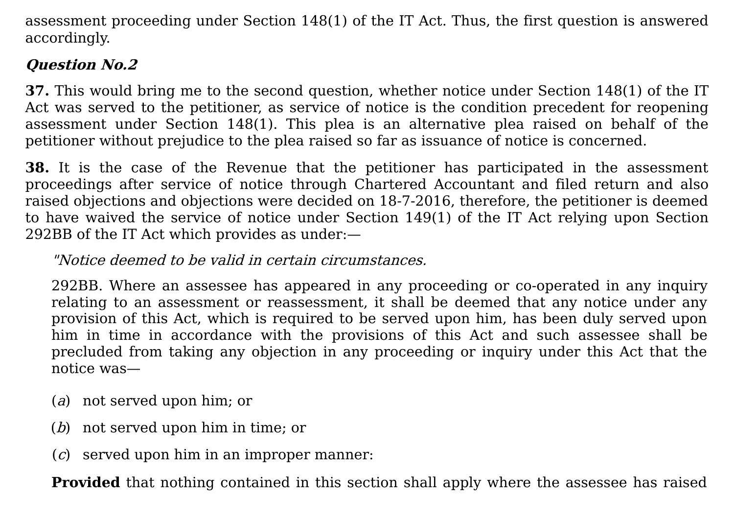assessment proceeding under Section 148(1) of the IT Act. Thus, the first question is answered accordingly.

# **Question No.2**

**37.** This would bring me to the second question, whether notice under Section 148(1) of the IT Act was served to the petitioner, as service of notice is the condition precedent for reopening assessment under Section 148(1). This plea is an alternative plea raised on behalf of the petitioner without prejudice to the plea raised so far as issuance of notice is concerned.

**38.** It is the case of the Revenue that the petitioner has participated in the assessment proceedings after service of notice through Chartered Accountant and filed return and also raised objections and objections were decided on 18-7-2016, therefore, the petitioner is deemed to have waived the service of notice under Section 149(1) of the IT Act relying upon Section 292BB of the IT Act which provides as under:—

## "Notice deemed to be valid in certain circumstances.

292BB. Where an assessee has appeared in any proceeding or co-operated in any inquiry relating to an assessment or reassessment, it shall be deemed that any notice under any provision of this Act, which is required to be served upon him, has been duly served upon him in time in accordance with the provisions of this Act and such assessee shall be precluded from taking any objection in any proceeding or inquiry under this Act that the notice was—

- (a) not served upon him; or
- (b) not served upon him in time; or
- (c) served upon him in an improper manner:

**Provided** that nothing contained in this section shall apply where the assessee has raised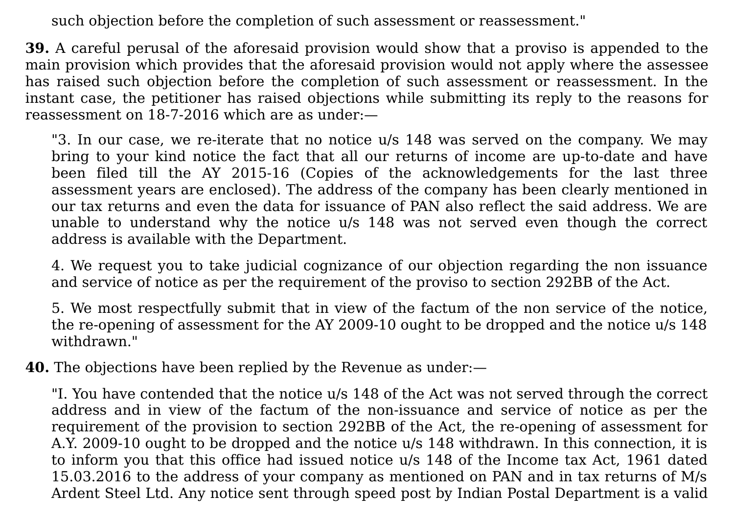such objection before the completion of such assessment or reassessment."

**39.** A careful perusal of the aforesaid provision would show that a proviso is appended to the main provision which provides that the aforesaid provision would not apply where the assessee has raised such objection before the completion of such assessment or reassessment. In the instant case, the petitioner has raised objections while submitting its reply to the reasons for reassessment on 18-7-2016 which are as under:—

"3. In our case, we re-iterate that no notice u/s 148 was served on the company. We may bring to your kind notice the fact that all our returns of income are up-to-date and have been filed till the AY 2015-16 (Copies of the acknowledgements for the last three assessment years are enclosed). The address of the company has been clearly mentioned in our tax returns and even the data for issuance of PAN also reflect the said address. We are unable to understand why the notice u/s 148 was not served even though the correct address is available with the Department.

4. We request you to take judicial cognizance of our objection regarding the non issuance and service of notice as per the requirement of the proviso to section 292BB of the Act.

5. We most respectfully submit that in view of the factum of the non service of the notice, the re-opening of assessment for the AY 2009-10 ought to be dropped and the notice u/s 148 withdrawn."

**40.** The objections have been replied by the Revenue as under:—

"I. You have contended that the notice u/s 148 of the Act was not served through the correct address and in view of the factum of the non-issuance and service of notice as per the requirement of the provision to section 292BB of the Act, the re-opening of assessment for A.Y. 2009-10 ought to be dropped and the notice u/s 148 withdrawn. In this connection, it is to inform you that this office had issued notice u/s 148 of the Income tax Act, 1961 dated 15.03.2016 to the address of your company as mentioned on PAN and in tax returns of M/s Ardent Steel Ltd. Any notice sent through speed post by Indian Postal Department is a valid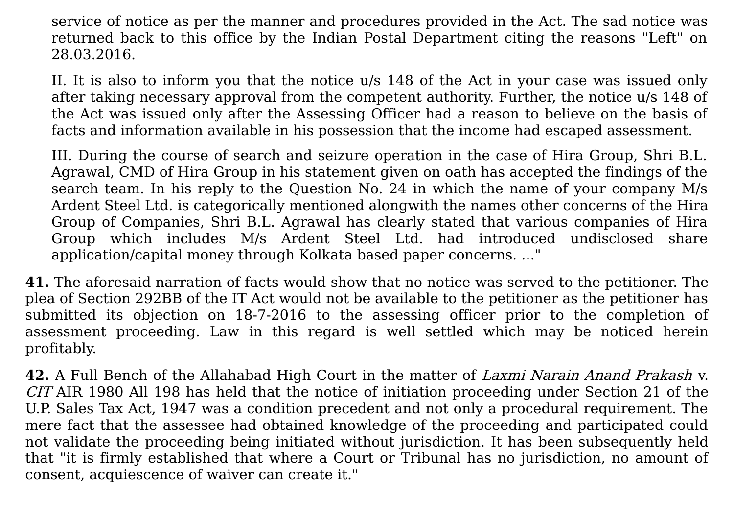service of notice as per the manner and procedures provided in the Act. The sad notice was returned back to this office by the Indian Postal Department citing the reasons "Left" on 28.03.2016.

II. It is also to inform you that the notice u/s 148 of the Act in your case was issued only after taking necessary approval from the competent authority. Further, the notice u/s 148 of the Act was issued only after the Assessing Officer had a reason to believe on the basis of facts and information available in his possession that the income had escaped assessment.

III. During the course of search and seizure operation in the case of Hira Group, Shri B.L. Agrawal, CMD of Hira Group in his statement given on oath has accepted the findings of the search team. In his reply to the Question No. 24 in which the name of your company M/s Ardent Steel Ltd. is categorically mentioned alongwith the names other concerns of the Hira Group of Companies, Shri B.L. Agrawal has clearly stated that various companies of Hira Group which includes M/s Ardent Steel Ltd. had introduced undisclosed share application/capital money through Kolkata based paper concerns. ..."

**41.** The aforesaid narration of facts would show that no notice was served to the petitioner. The plea of Section 292BB of the IT Act would not be available to the petitioner as the petitioner has submitted its objection on 18-7-2016 to the assessing officer prior to the completion of assessment proceeding. Law in this regard is well settled which may be noticed herein profitably.

**42.** A Full Bench of the Allahabad High Court in the matter of Laxmi Narain Anand Prakash v. CIT AIR 1980 All 198 has held that the notice of initiation proceeding under Section 21 of the U.P. Sales Tax Act, 1947 was a condition precedent and not only a procedural requirement. The mere fact that the assessee had obtained knowledge of the proceeding and participated could not validate the proceeding being initiated without jurisdiction. It has been subsequently held that "it is firmly established that where a Court or Tribunal has no jurisdiction, no amount of consent, acquiescence of waiver can create it."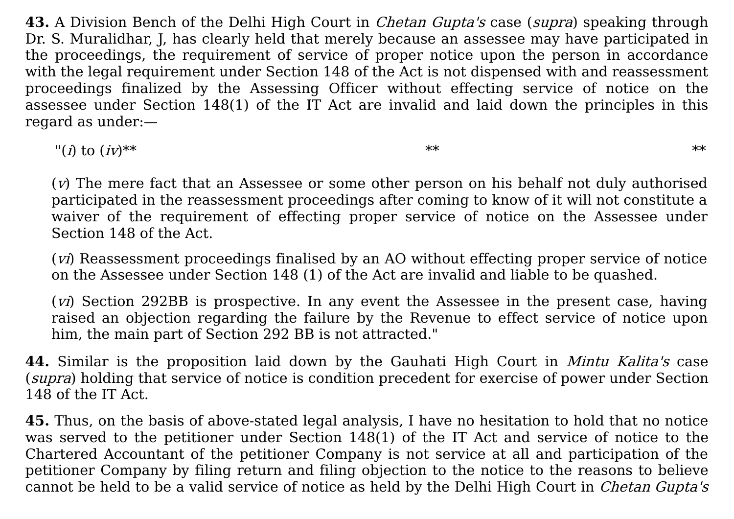**43.** A Division Bench of the Delhi High Court in *Chetan Gupta's* case (*supra*) speaking through Dr. S. Muralidhar, J, has clearly held that merely because an assessee may have participated in the proceedings, the requirement of service of proper notice upon the person in accordance with the legal requirement under Section 148 of the Act is not dispensed with and reassessment proceedings finalized by the Assessing Officer without effecting service of notice on the assessee under Section 148(1) of the IT Act are invalid and laid down the principles in this regard as under:—

 $\binom{n}{i}$  to  $(iv)^{**}$  \*\*

(v) The mere fact that an Assessee or some other person on his behalf not duly authorised participated in the reassessment proceedings after coming to know of it will not constitute a waiver of the requirement of effecting proper service of notice on the Assessee under Section 148 of the Act.

(vi) Reassessment proceedings finalised by an AO without effecting proper service of notice on the Assessee under Section 148 (1) of the Act are invalid and liable to be quashed.

(*vi*) Section 292BB is prospective. In any event the Assessee in the present case, having raised an objection regarding the failure by the Revenue to effect service of notice upon him, the main part of Section 292 BB is not attracted."

**44.** Similar is the proposition laid down by the Gauhati High Court in Mintu Kalita's case (supra) holding that service of notice is condition precedent for exercise of power under Section 148 of the IT Act.

**45.** Thus, on the basis of above-stated legal analysis, I have no hesitation to hold that no notice was served to the petitioner under Section 148(1) of the IT Act and service of notice to the Chartered Accountant of the petitioner Company is not service at all and participation of the petitioner Company by filing return and filing objection to the notice to the reasons to believe cannot be held to be a valid service of notice as held by the Delhi High Court in *Chetan Gupta's*